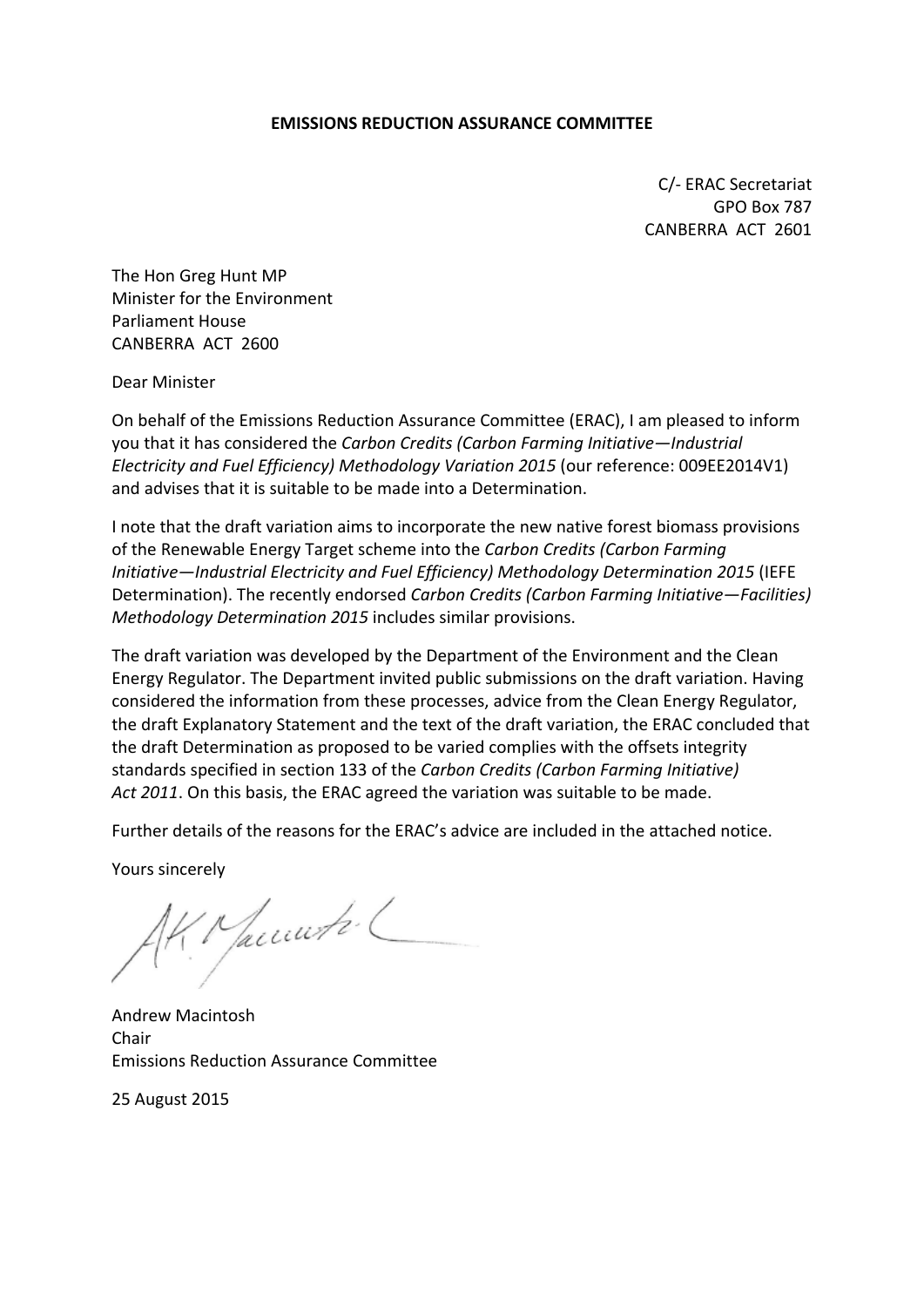#### **EMISSIONS REDUCTION ASSURANCE COMMITTEE**

C/- ERAC Secretariat GPO Box 787 CANBERRA ACT 2601

The Hon Greg Hunt MP Minister for the Environment Parliament House CANBERRA ACT 2600

Dear Minister

On behalf of the Emissions Reduction Assurance Committee (ERAC), I am pleased to inform you that it has considered the *Carbon Credits (Carbon Farming Initiative—Industrial Electricity and Fuel Efficiency) Methodology Variation 2015* (our reference: 009EE2014V1) and advises that it is suitable to be made into a Determination.

I note that the draft variation aims to incorporate the new native forest biomass provisions of the Renewable Energy Target scheme into the *Carbon Credits (Carbon Farming Initiative—Industrial Electricity and Fuel Efficiency) Methodology Determination 2015* (IEFE Determination). The recently endorsed *Carbon Credits (Carbon Farming Initiative—Facilities) Methodology Determination 2015* includes similar provisions.

The draft variation was developed by the Department of the Environment and the Clean Energy Regulator. The Department invited public submissions on the draft variation. Having considered the information from these processes, advice from the Clean Energy Regulator, the draft Explanatory Statement and the text of the draft variation, the ERAC concluded that the draft Determination as proposed to be varied complies with the offsets integrity standards specified in section 133 of the *Carbon Credits (Carbon Farming Initiative) Act 2011*. On this basis, the ERAC agreed the variation was suitable to be made.

Further details of the reasons for the ERAC's advice are included in the attached notice.

Yours sincerely

Macunti L

Andrew Macintosh Chair Emissions Reduction Assurance Committee

25 August 2015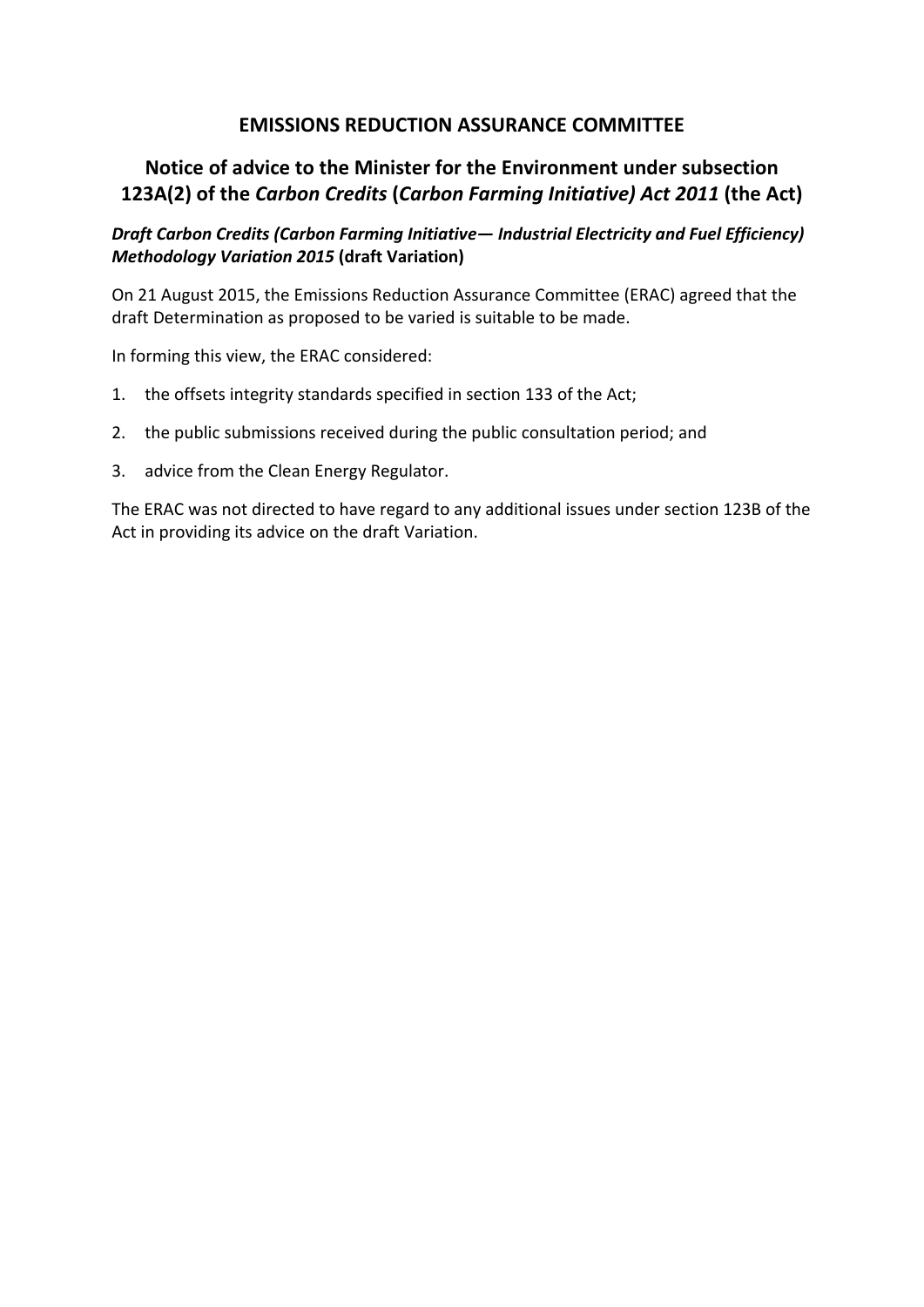## **EMISSIONS REDUCTION ASSURANCE COMMITTEE**

# **Notice of advice to the Minister for the Environment under subsection 123A(2) of the** *Carbon Credits* **(***Carbon Farming Initiative) Act 2011* **(the Act)**

*Draft Carbon Credits (Carbon Farming Initiative— Industrial Electricity and Fuel Efficiency) Methodology Variation 2015* **(draft Variation)**

On 21 August 2015, the Emissions Reduction Assurance Committee (ERAC) agreed that the draft Determination as proposed to be varied is suitable to be made.

In forming this view, the ERAC considered:

- 1. the offsets integrity standards specified in section 133 of the Act;
- 2. the public submissions received during the public consultation period; and
- 3. advice from the Clean Energy Regulator.

The ERAC was not directed to have regard to any additional issues under section 123B of the Act in providing its advice on the draft Variation.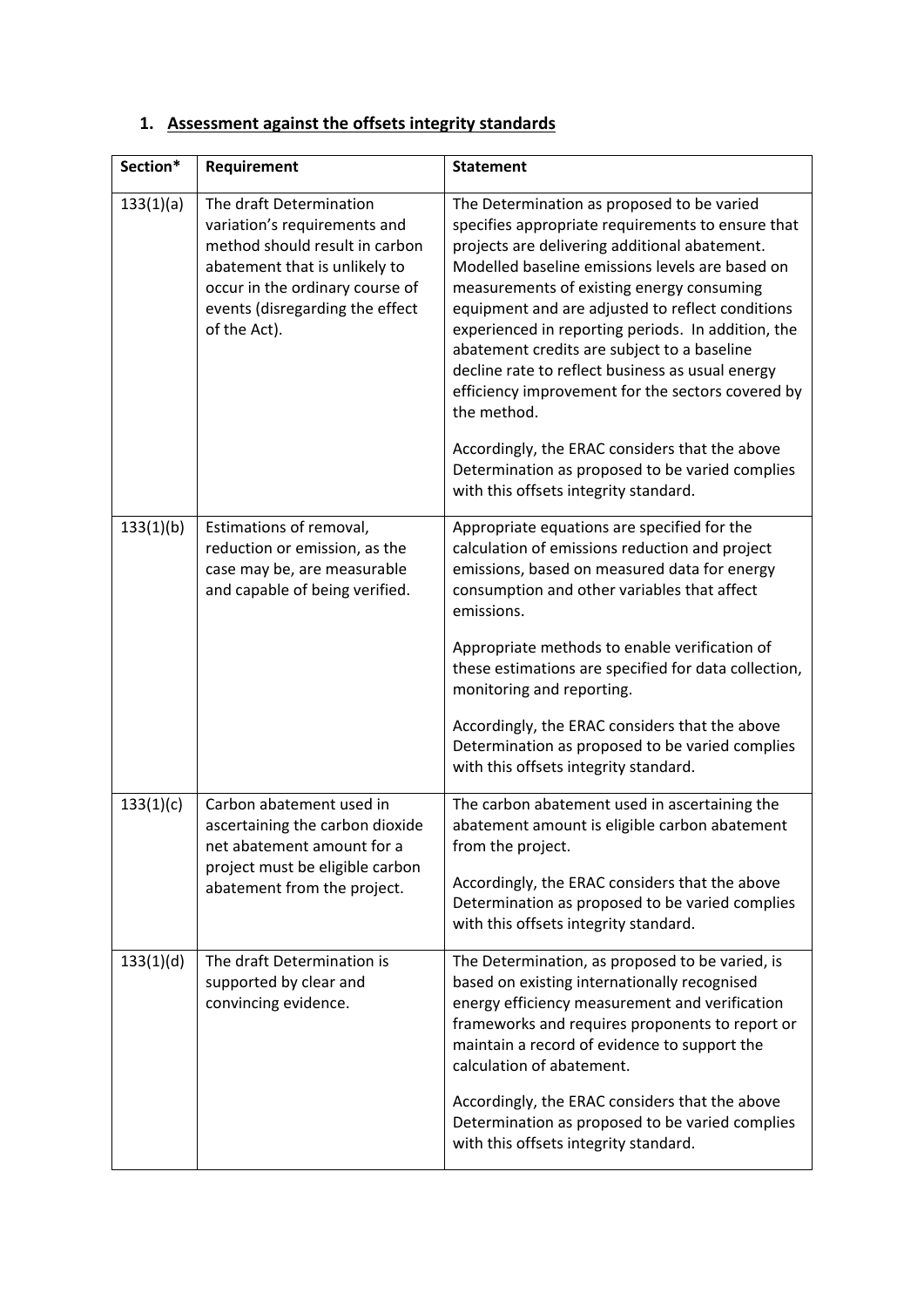# **1. Assessment against the offsets integrity standards**

| Section*  | Requirement                                                                                                                                                                                                      | <b>Statement</b>                                                                                                                                                                                                                                                                                                                                                                                                                                                                                                                                                                                                                                                                |
|-----------|------------------------------------------------------------------------------------------------------------------------------------------------------------------------------------------------------------------|---------------------------------------------------------------------------------------------------------------------------------------------------------------------------------------------------------------------------------------------------------------------------------------------------------------------------------------------------------------------------------------------------------------------------------------------------------------------------------------------------------------------------------------------------------------------------------------------------------------------------------------------------------------------------------|
| 133(1)(a) | The draft Determination<br>variation's requirements and<br>method should result in carbon<br>abatement that is unlikely to<br>occur in the ordinary course of<br>events (disregarding the effect<br>of the Act). | The Determination as proposed to be varied<br>specifies appropriate requirements to ensure that<br>projects are delivering additional abatement.<br>Modelled baseline emissions levels are based on<br>measurements of existing energy consuming<br>equipment and are adjusted to reflect conditions<br>experienced in reporting periods. In addition, the<br>abatement credits are subject to a baseline<br>decline rate to reflect business as usual energy<br>efficiency improvement for the sectors covered by<br>the method.<br>Accordingly, the ERAC considers that the above<br>Determination as proposed to be varied complies<br>with this offsets integrity standard. |
| 133(1)(b) | Estimations of removal,<br>reduction or emission, as the<br>case may be, are measurable<br>and capable of being verified.                                                                                        | Appropriate equations are specified for the<br>calculation of emissions reduction and project<br>emissions, based on measured data for energy<br>consumption and other variables that affect<br>emissions.<br>Appropriate methods to enable verification of<br>these estimations are specified for data collection,<br>monitoring and reporting.<br>Accordingly, the ERAC considers that the above<br>Determination as proposed to be varied complies<br>with this offsets integrity standard.                                                                                                                                                                                  |
| 133(1)(c) | Carbon abatement used in<br>ascertaining the carbon dioxide<br>net abatement amount for a<br>project must be eligible carbon<br>abatement from the project.                                                      | The carbon abatement used in ascertaining the<br>abatement amount is eligible carbon abatement<br>from the project.<br>Accordingly, the ERAC considers that the above<br>Determination as proposed to be varied complies<br>with this offsets integrity standard.                                                                                                                                                                                                                                                                                                                                                                                                               |
| 133(1)(d) | The draft Determination is<br>supported by clear and<br>convincing evidence.                                                                                                                                     | The Determination, as proposed to be varied, is<br>based on existing internationally recognised<br>energy efficiency measurement and verification<br>frameworks and requires proponents to report or<br>maintain a record of evidence to support the<br>calculation of abatement.<br>Accordingly, the ERAC considers that the above<br>Determination as proposed to be varied complies<br>with this offsets integrity standard.                                                                                                                                                                                                                                                 |